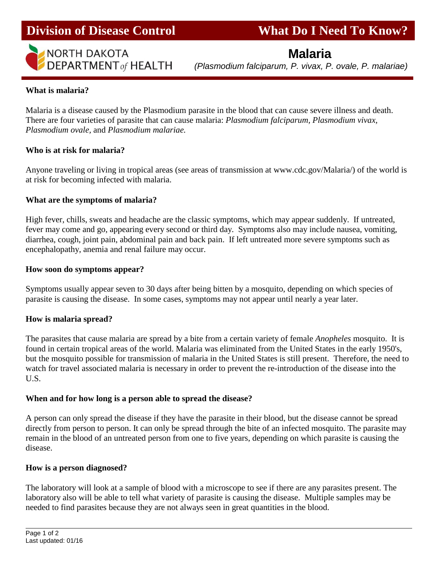

# **Division of Disease Control What Do I Need To Know?**

# **Malaria**

 *(Plasmodium falciparum, P. vivax, P. ovale, P. malariae)*

Ī

# **What is malaria?**

Malaria is a disease caused by the Plasmodium parasite in the blood that can cause severe illness and death. There are four varieties of parasite that can cause malaria: *Plasmodium falciparum, Plasmodium vivax, Plasmodium ovale,* and *Plasmodium malariae.*

# **Who is at risk for malaria?**

Anyone traveling or living in tropical areas (see areas of transmission at www.cdc.gov/Malaria/) of the world is at risk for becoming infected with malaria.

# **What are the symptoms of malaria?**

High fever, chills, sweats and headache are the classic symptoms, which may appear suddenly. If untreated, fever may come and go, appearing every second or third day. Symptoms also may include nausea, vomiting, diarrhea, cough, joint pain, abdominal pain and back pain. If left untreated more severe symptoms such as encephalopathy, anemia and renal failure may occur.

# **How soon do symptoms appear?**

Symptoms usually appear seven to 30 days after being bitten by a mosquito, depending on which species of parasite is causing the disease. In some cases, symptoms may not appear until nearly a year later.

#### **How is malaria spread?**

The parasites that cause malaria are spread by a bite from a certain variety of female *Anopheles* mosquito. It is found in certain tropical areas of the world. Malaria was eliminated from the United States in the early 1950's, but the mosquito possible for transmission of malaria in the United States is still present. Therefore, the need to watch for travel associated malaria is necessary in order to prevent the re-introduction of the disease into the U.S.

# **When and for how long is a person able to spread the disease?**

A person can only spread the disease if they have the parasite in their blood, but the disease cannot be spread directly from person to person. It can only be spread through the bite of an infected mosquito. The parasite may remain in the blood of an untreated person from one to five years, depending on which parasite is causing the disease.

#### **How is a person diagnosed?**

The laboratory will look at a sample of blood with a microscope to see if there are any parasites present. The laboratory also will be able to tell what variety of parasite is causing the disease. Multiple samples may be needed to find parasites because they are not always seen in great quantities in the blood.